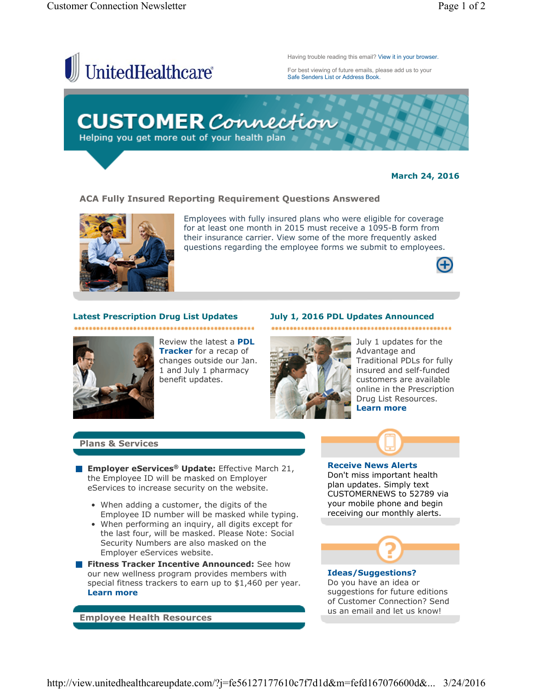

### **March 24, 2016**

### **ACA Fully Insured Reporting Requirement Questions Answered**



Employees with fully insured plans who were eligible for coverage for at least one month in 2015 must receive a 1095-B form from their insurance carrier. View some of the more frequently asked questions regarding the employee forms we submit to employees.



## **Latest Prescription Drug List Updates**



Review the latest a **PDL Tracker** for a recap of changes outside our Jan. 1 and July 1 pharmacy benefit updates.

...................................



**July 1, 2016 PDL Updates Announced**

July 1 updates for the Advantage and Traditional PDLs for fully insured and self-funded customers are available online in the Prescription Drug List Resources. **Learn more**

.........................

# **Plans & Services**

- **Employer eServices<sup>®</sup> Update:** Effective March 21, the Employee ID will be masked on Employer eServices to increase security on the website.
	- When adding a customer, the digits of the Employee ID number will be masked while typing.
	- When performing an inquiry, all digits except for the last four, will be masked. Please Note: Social Security Numbers are also masked on the Employer eServices website.
- **Fitness Tracker Incentive Announced:** See how our new wellness program provides members with special fitness trackers to earn up to \$1,460 per year. **Learn more**

**Employee Health Resources**

**Receive News Alerts** Don't miss important health plan updates. Simply text CUSTOMERNEWS to 52789 via your mobile phone and begin receiving our monthly alerts.



### **Ideas/Suggestions?** Do you have an idea or suggestions for future editions of Customer Connection? Send us an email and let us know!